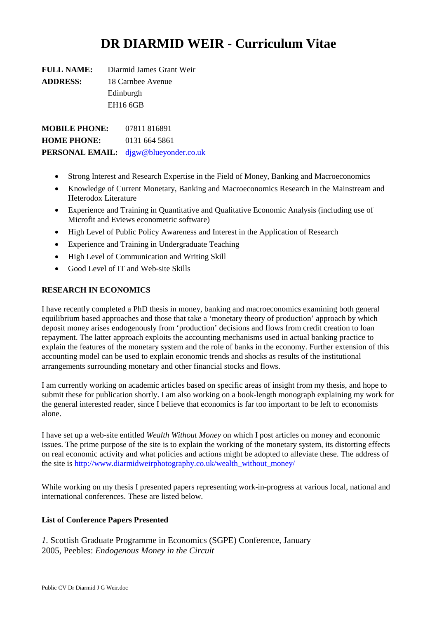# **DR DIARMID WEIR - Curriculum Vitae**

**FULL NAME:** Diarmid James Grant Weir **ADDRESS:** 18 Carnbee Avenue Edinburgh EH16 6GB

**MOBILE PHONE:** 07811 816891 **HOME PHONE:** 0131 664 5861 **PERSONAL EMAIL:** djgw@blueyonder.co.uk

- Strong Interest and Research Expertise in the Field of Money, Banking and Macroeconomics
- Knowledge of Current Monetary, Banking and Macroeconomics Research in the Mainstream and Heterodox Literature
- Experience and Training in Quantitative and Qualitative Economic Analysis (including use of Microfit and Eviews econometric software)
- High Level of Public Policy Awareness and Interest in the Application of Research
- Experience and Training in Undergraduate Teaching
- High Level of Communication and Writing Skill
- Good Level of IT and Web-site Skills

# **RESEARCH IN ECONOMICS**

I have recently completed a PhD thesis in money, banking and macroeconomics examining both general equilibrium based approaches and those that take a 'monetary theory of production' approach by which deposit money arises endogenously from 'production' decisions and flows from credit creation to loan repayment. The latter approach exploits the accounting mechanisms used in actual banking practice to explain the features of the monetary system and the role of banks in the economy. Further extension of this accounting model can be used to explain economic trends and shocks as results of the institutional arrangements surrounding monetary and other financial stocks and flows.

I am currently working on academic articles based on specific areas of insight from my thesis, and hope to submit these for publication shortly. I am also working on a book-length monograph explaining my work for the general interested reader, since I believe that economics is far too important to be left to economists alone.

I have set up a web-site entitled *Wealth Without Money* on which I post articles on money and economic issues. The prime purpose of the site is to explain the working of the monetary system, its distorting effects on real economic activity and what policies and actions might be adopted to alleviate these. The address of the site is http://www.diarmidweirphotography.co.uk/wealth\_without\_money/

While working on my thesis I presented papers representing work-in-progress at various local, national and international conferences. These are listed below.

## **List of Conference Papers Presented**

*1.* Scottish Graduate Programme in Economics (SGPE) Conference, January 2005, Peebles: *Endogenous Money in the Circuit*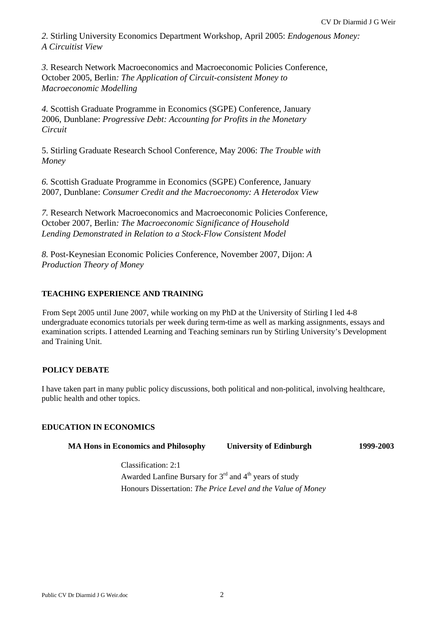*2.* Stirling University Economics Department Workshop, April 2005: *Endogenous Money: A Circuitist View* 

*3.* Research Network Macroeconomics and Macroeconomic Policies Conference, October 2005, Berlin*: The Application of Circuit-consistent Money to Macroeconomic Modelling* 

*4.* Scottish Graduate Programme in Economics (SGPE) Conference, January 2006, Dunblane: *Progressive Debt: Accounting for Profits in the Monetary Circuit* 

5. Stirling Graduate Research School Conference, May 2006: *The Trouble with Money* 

*6.* Scottish Graduate Programme in Economics (SGPE) Conference, January 2007, Dunblane: *Consumer Credit and the Macroeconomy: A Heterodox View* 

*7.* Research Network Macroeconomics and Macroeconomic Policies Conference, October 2007, Berlin*: The Macroeconomic Significance of Household Lending Demonstrated in Relation to a Stock-Flow Consistent Model* 

*8.* Post-Keynesian Economic Policies Conference, November 2007, Dijon: *A Production Theory of Money*

# **TEACHING EXPERIENCE AND TRAINING**

From Sept 2005 until June 2007, while working on my PhD at the University of Stirling I led 4-8 undergraduate economics tutorials per week during term-time as well as marking assignments, essays and examination scripts. I attended Learning and Teaching seminars run by Stirling University's Development and Training Unit.

# **POLICY DEBATE**

I have taken part in many public policy discussions, both political and non-political, involving healthcare, public health and other topics.

# **EDUCATION IN ECONOMICS**

| <b>MA Hons in Economics and Philosophy</b> | <b>University of Edinburgh</b> | 1999-2003 |
|--------------------------------------------|--------------------------------|-----------|
|--------------------------------------------|--------------------------------|-----------|

Classification: 2:1 Awarded Lanfine Bursary for  $3<sup>rd</sup>$  and  $4<sup>th</sup>$  years of study Honours Dissertation: *The Price Level and the Value of Money*